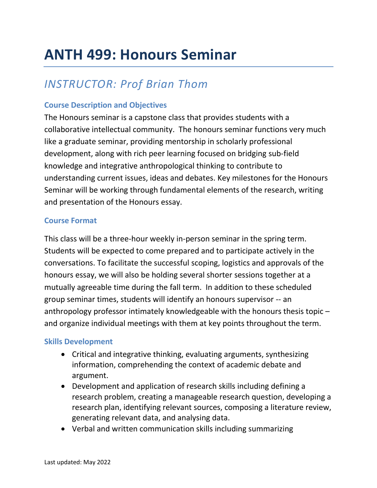# **ANTH 499: Honours Seminar**

## *INSTRUCTOR: Prof Brian Thom*

### **Course Description and Objectives**

The Honours seminar is a capstone class that provides students with a collaborative intellectual community. The honours seminar functions very much like a graduate seminar, providing mentorship in scholarly professional development, along with rich peer learning focused on bridging sub-field knowledge and integrative anthropological thinking to contribute to understanding current issues, ideas and debates. Key milestones for the Honours Seminar will be working through fundamental elements of the research, writing and presentation of the Honours essay.

#### **Course Format**

This class will be a three-hour weekly in-person seminar in the spring term. Students will be expected to come prepared and to participate actively in the conversations. To facilitate the successful scoping, logistics and approvals of the honours essay, we will also be holding several shorter sessions together at a mutually agreeable time during the fall term. In addition to these scheduled group seminar times, students will identify an honours supervisor -- an anthropology professor intimately knowledgeable with the honours thesis topic – and organize individual meetings with them at key points throughout the term.

#### **Skills Development**

- Critical and integrative thinking, evaluating arguments, synthesizing information, comprehending the context of academic debate and argument.
- Development and application of research skills including defining a research problem, creating a manageable research question, developing a research plan, identifying relevant sources, composing a literature review, generating relevant data, and analysing data.
- Verbal and written communication skills including summarizing